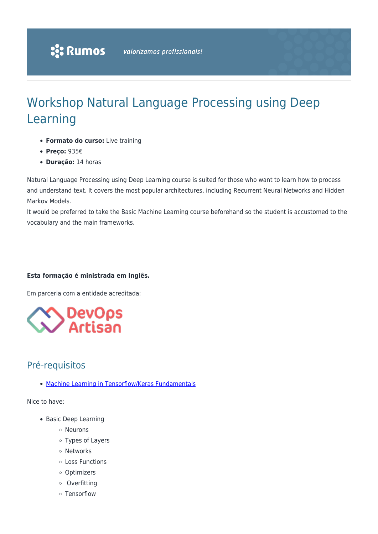# Workshop Natural Language Processing using Deep Learning

- **Formato do curso:** Live training
- **Preço:** 935€
- **Duração:** 14 horas

Natural Language Processing using Deep Learning course is suited for those who want to learn how to process and understand text. It covers the most popular architectures, including Recurrent Neural Networks and Hidden Markov Models.

It would be preferred to take the Basic Machine Learning course beforehand so the student is accustomed to the vocabulary and the main frameworks.

#### **Esta formação é ministrada em Inglês.**

Em parceria com a entidade acreditada:



## Pré-requisitos

[Machine Learning in Tensorflow/Keras Fundamentals](https://www.rumos.pt/?p=49244)

Nice to have:

- Basic Deep Learning
	- Neurons
	- Types of Layers
	- Networks
	- Loss Functions
	- Optimizers
	- o Overfitting
	- Tensorflow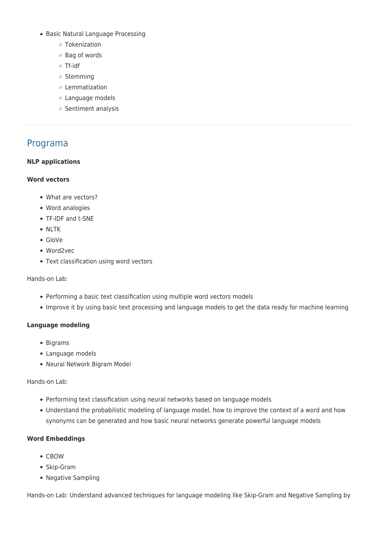- Basic Natural Language Processing
	- Tokenization
	- Bag of words
	- Tf-idf
	- o Stemming
	- Lemmatization
	- Language models
	- Sentiment analysis

### Programa

#### **NLP applications**

#### **Word vectors**

- What are vectors?
- Word analogies
- TF-IDF and t-SNE
- NLTK
- GloVe
- Word2vec
- Text classification using word vectors

Hands-on Lab:

- Performing a basic text classification using multiple word vectors models
- Improve it by using basic text processing and language models to get the data ready for machine learning

#### **Language modeling**

- Bigrams
- Language models
- Neural Network Bigram Model

Hands-on Lab:

- Performing text classification using neural networks based on language models
- Understand the probabilistic modeling of language model, how to improve the context of a word and how synonyms can be generated and how basic neural networks generate powerful language models

#### **Word Embeddings**

- $\bullet$  CROW
- Skip-Gram
- Negative Sampling

Hands-on Lab: Understand advanced techniques for language modeling like Skip-Gram and Negative Sampling by